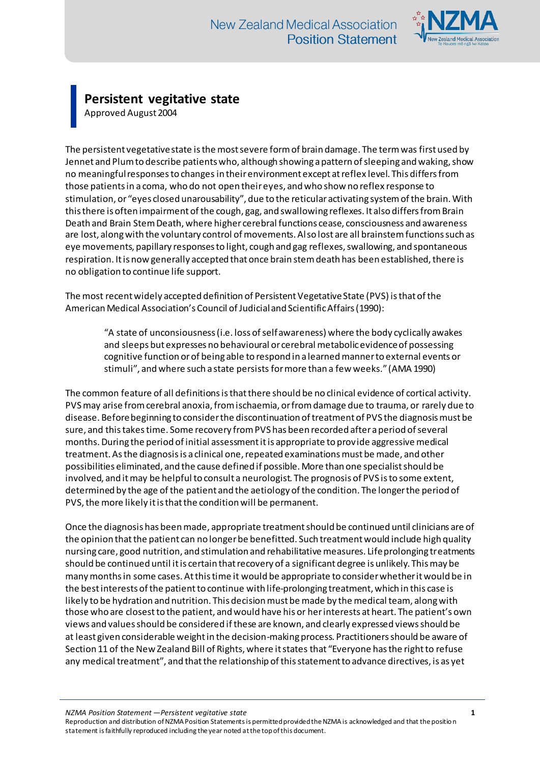

## **Persistent vegitative state**

Approved August 2004

The persistent vegetative state is the most severe form of brain damage. The term was first used by Jennet and Plum to describe patients who, although showing a pattern of sleeping and waking, show no meaningful responses to changes in their environment except at reflex level. This differs from those patients in a coma, who do not open their eyes, and who show no reflex response to stimulation, or "eyes closed unarousability", due to the reticular activating system of the brain. With this there is often impairment of the cough, gag, and swallowing reflexes. It also differs from Brain Death and Brain Stem Death, where higher cerebral functions cease, consciousness and awareness are lost, along with the voluntary control of movements. Also lost are all brainstem functions such as eye movements, papillary responses to light, cough and gag reflexes, swallowing, and spontaneous respiration. It is now generally accepted that once brain stem death has been established, there is no obligation to continue life support.

The most recent widely accepted definition of Persistent Vegetative State (PVS) is that of the American Medical Association's Council of Judicial and Scientific Affairs (1990):

> "A state of unconsiousness (i.e. loss of self awareness) where the body cyclically awakes and sleeps but expresses no behavioural or cerebral metabolic evidence of possessing cognitive function or of being able to respond in a learned manner to external events or stimuli", and where such a state persists for more than a few weeks." (AMA 1990)

The common feature of all definitions is that there should be no clinical evidence of cortical activity. PVS may arise from cerebral anoxia, from ischaemia, or from damage due to trauma, or rarely due to disease. Before beginning to consider the discontinuation of treatment of PVS the diagnosis must be sure, and this takes time. Some recovery from PVS has been recorded after a period of several months. During the period of initial assessment it is appropriate to provide aggressive medical treatment. As the diagnosis is a clinical one, repeated examinations must be made, and other possibilities eliminated, and the cause defined if possible. More than one specialist should be involved, and it may be helpful to consult a neurologist. The prognosis of PVS is to some extent, determined by the age of the patient and the aetiology of the condition. The longer the period of PVS, the more likely it is that the condition will be permanent.

Once the diagnosis has been made, appropriate treatment should be continued until clinicians are of the opinion that the patient can no longer be benefitted. Such treatment would include high quality nursing care, good nutrition, and stimulation and rehabilitative measures. Life prolonging treatments should be continued until it is certain that recovery of a significant degree is unlikely. This may be many months in some cases. At this time it would be appropriate to consider whether it would be in the best interests of the patient to continue with life-prolonging treatment, which in this case is likely to be hydration and nutrition. This decision must be made by the medical team, along with those who are closest to the patient, and would have his or her interests at heart. The patient's own views and values should be considered if these are known, and clearly expressed views should be at least given considerable weight in the decision-making process. Practitioners should be aware of Section 11 of the New Zealand Bill of Rights, where it states that "Everyone has the right to refuse any medical treatment", and that the relationship of this statement to advance directives, is as yet

*NZMA Position Statement —Persistent vegitative state* **1**

Reproduction and distribution of NZMA Position Statements is permitted provided the NZMA is acknowledged and that the position statement is faithfully reproduced including the year noted at the top of this document.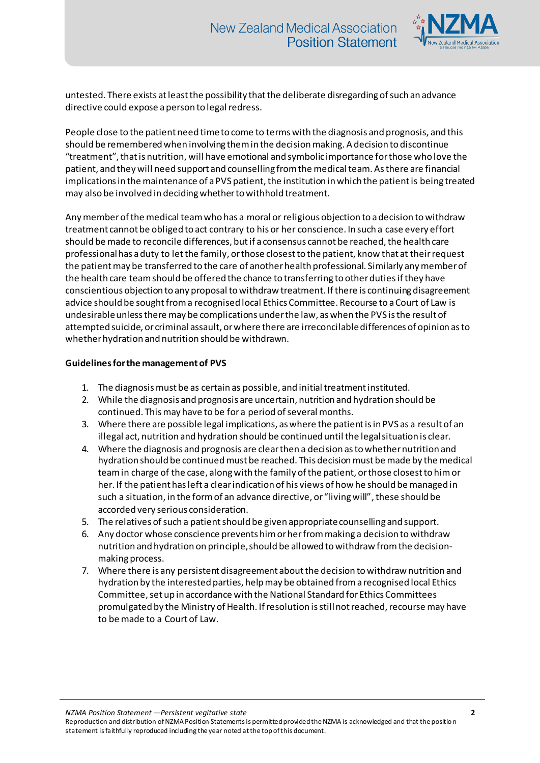

untested. There exists at least the possibility that the deliberate disregarding of such an advance directive could expose a person to legal redress.

People close to the patient need time to come to terms with the diagnosis and prognosis, and this should be remembered when involving them in the decision making. A decision to discontinue "treatment", that is nutrition, will have emotional and symbolic importance for those who love the patient, and they will need support and counselling from the medical team. As there are financial implications in the maintenance of a PVS patient, the institution in which the patient is being treated may also be involved in deciding whether to withhold treatment.

Any member of the medical team who has a moral or religious objection to a decision to withdraw treatment cannot be obliged to act contrary to his or her conscience. In such a case every effort should be made to reconcile differences, but if a consensus cannot be reached, the health care professional has a duty to let the family, or those closest to the patient, know that at their request the patient may be transferred to the care of another health professional. Similarly any member of the health care team should be offered the chance to transferring to other duties if they have conscientious objection to any proposal to withdraw treatment. If there is continuing disagreement advice should be sought from a recognised local Ethics Committee. Recourse to a Court of Law is undesirable unless there may be complications under the law, as when the PVS is the result of attempted suicide, or criminal assault, or where there are irreconcilable differences of opinion as to whether hydration and nutrition should be withdrawn.

## **Guidelines for the management of PVS**

- 1. The diagnosis must be as certain as possible, and initial treatment instituted.
- 2. While the diagnosis and prognosis are uncertain, nutrition and hydration should be continued. This may have to be for a period of several months.
- 3. Where there are possible legal implications, as where the patient is in PVS as a result of an illegal act, nutrition and hydration should be continued until the legal situation is clear.
- 4. Where the diagnosis and prognosis are clear then a decision as to whether nutrition and hydration should be continued must be reached. This decision must be made by the medical team in charge of the case, along with the family of the patient, or those closest to him or her. If the patient has left a clear indication of his views of how he should be managed in such a situation, in the form of an advance directive, or "living will", these should be accorded very serious consideration.
- 5. The relatives of such a patient should be given appropriate counselling and support.
- 6. Any doctor whose conscience prevents him or her from making a decision to withdraw nutrition and hydration on principle, should be allowed to withdraw from the decisionmaking process.
- 7. Where there is any persistent disagreement about the decision to withdraw nutrition and hydration by the interested parties, help may be obtained from a recognised local Ethics Committee, set up in accordance with the National Standard for Ethics Committees promulgated by the Ministry of Health. If resolution is still not reached, recourse may have to be made to a Court of Law.

*NZMA Position Statement —Persistent vegitative state* **2**

Reproduction and distribution of NZMA Position Statements is permitted provided the NZMA is acknowledged and that the position statement is faithfully reproduced including the year noted at the top of this document.